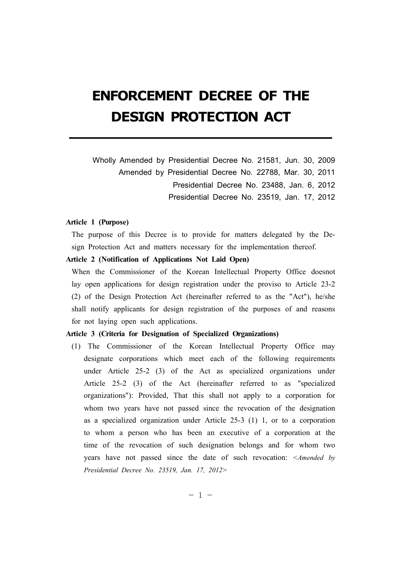# **ENFORCEMENT DECREE OF THE DESIGN PROTECTION ACT**

Wholly Amended by Presidential Decree No. 21581, Jun. 30, 2009 Amended by Presidential Decree No. 22788, Mar. 30, 2011 Presidential Decree No. 23488, Jan. 6, 2012 Presidential Decree No. 23519, Jan. 17, 2012

# **Article 1 (Purpose)**

The purpose of this Decree is to provide for matters delegated by the Design Protection Act and matters necessary for the implementation thereof.

# **Article 2 (Notification of Applications Not Laid Open)**

When the Commissioner of the Korean Intellectual Property Office doesnot lay open applications for design registration under the proviso to Article 23-2 (2) of the Design Protection Act (hereinafter referred to as the "Act"), he/she shall notify applicants for design registration of the purposes of and reasons for not laying open such applications.

## **Article 3 (Criteria for Designation of Specialized Organizations)**

(1) The Commissioner of the Korean Intellectual Property Office may designate corporations which meet each of the following requirements under Article 25-2 (3) of the Act as specialized organizations under Article 25-2 (3) of the Act (hereinafter referred to as "specialized organizations"): Provided, That this shall not apply to a corporation for whom two years have not passed since the revocation of the designation as a specialized organization under Article 25-3 (1) 1, or to a corporation to whom a person who has been an executive of a corporation at the time of the revocation of such designation belongs and for whom two years have not passed since the date of such revocation: *<Amended by Presidential Decree No. 23519, Jan. 17, 2012>*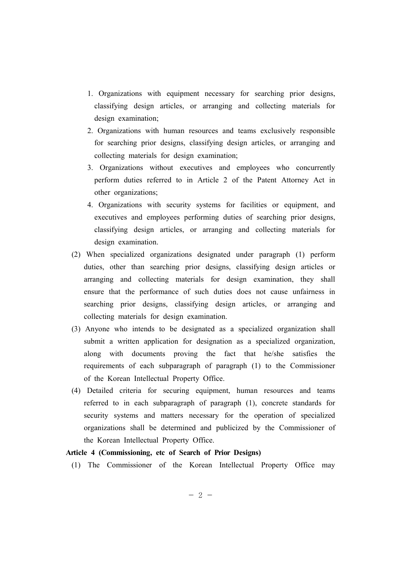- 1. Organizations with equipment necessary for searching prior designs, classifying design articles, or arranging and collecting materials for design examination;
- 2. Organizations with human resources and teams exclusively responsible for searching prior designs, classifying design articles, or arranging and collecting materials for design examination;
- 3. Organizations without executives and employees who concurrently perform duties referred to in Article 2 of the Patent Attorney Act in other organizations;
- 4. Organizations with security systems for facilities or equipment, and executives and employees performing duties of searching prior designs, classifying design articles, or arranging and collecting materials for design examination.
- (2) When specialized organizations designated under paragraph (1) perform duties, other than searching prior designs, classifying design articles or arranging and collecting materials for design examination, they shall ensure that the performance of such duties does not cause unfairness in searching prior designs, classifying design articles, or arranging and collecting materials for design examination.
- (3) Anyone who intends to be designated as a specialized organization shall submit a written application for designation as a specialized organization, along with documents proving the fact that he/she satisfies the requirements of each subparagraph of paragraph (1) to the Commissioner of the Korean Intellectual Property Office.
- (4) Detailed criteria for securing equipment, human resources and teams referred to in each subparagraph of paragraph (1), concrete standards for security systems and matters necessary for the operation of specialized organizations shall be determined and publicized by the Commissioner of the Korean Intellectual Property Office.

# **Article 4 (Commissioning, etc of Search of Prior Designs)**

(1) The Commissioner of the Korean Intellectual Property Office may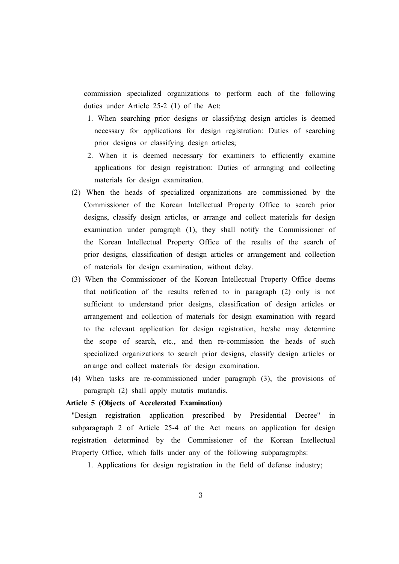commission specialized organizations to perform each of the following duties under Article 25-2 (1) of the Act:

- 1. When searching prior designs or classifying design articles is deemed necessary for applications for design registration: Duties of searching prior designs or classifying design articles;
- 2. When it is deemed necessary for examiners to efficiently examine applications for design registration: Duties of arranging and collecting materials for design examination.
- (2) When the heads of specialized organizations are commissioned by the Commissioner of the Korean Intellectual Property Office to search prior designs, classify design articles, or arrange and collect materials for design examination under paragraph (1), they shall notify the Commissioner of the Korean Intellectual Property Office of the results of the search of prior designs, classification of design articles or arrangement and collection of materials for design examination, without delay.
- (3) When the Commissioner of the Korean Intellectual Property Office deems that notification of the results referred to in paragraph (2) only is not sufficient to understand prior designs, classification of design articles or arrangement and collection of materials for design examination with regard to the relevant application for design registration, he/she may determine the scope of search, etc., and then re-commission the heads of such specialized organizations to search prior designs, classify design articles or arrange and collect materials for design examination.
- (4) When tasks are re-commissioned under paragraph (3), the provisions of paragraph (2) shall apply mutatis mutandis.

# **Article 5 (Objects of Accelerated Examination)**

"Design registration application prescribed by Presidential Decree" in subparagraph 2 of Article 25-4 of the Act means an application for design registration determined by the Commissioner of the Korean Intellectual Property Office, which falls under any of the following subparagraphs:

1. Applications for design registration in the field of defense industry;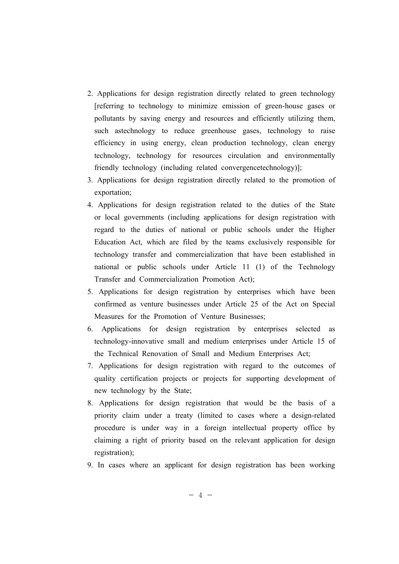- 2. Applications for design registration directly related to green technology [referring to technology to minimize emission of green-house gases or pollutants by saving energy and resources and efficiently utilizing them, such astechnology to reduce greenhouse gases, technology to raise efficiency in using energy, clean production technology, clean energy technology, technology for resources circulation and environmentally friendly technology (including related convergencetechnology)];
- 3. Applications for design registration directly related to the promotion of exportation;
- 4. Applications for design registration related to the duties of the State or local governments (including applications for design registration with regard to the duties of national or public schools under the Higher Education Act, which are filed by the teams exclusively responsible for technology transfer and commercialization that have been established in national or public schools under Article 11 (1) of the Technology Transfer and Commercialization Promotion Act);
- 5. Applications for design registration by enterprises which have been confirmed as venture businesses under Article 25 of the Act on Special Measures for the Promotion of Venture Businesses;
- 6. Applications for design registration by enterprises selected as technology-innovative small and medium enterprises under Article 15 of the Technical Renovation of Small and Medium Enterprises Act;
- 7. Applications for design registration with regard to the outcomes of quality certification projects or projects for supporting development of new technology by the State;
- 8. Applications for design registration that would be the basis of a priority claim under a treaty (limited to cases where a design-related procedure is under way in a foreign intellectual property office by claiming a right of priority based on the relevant application for design registration);
- 9. In cases where an applicant for design registration has been working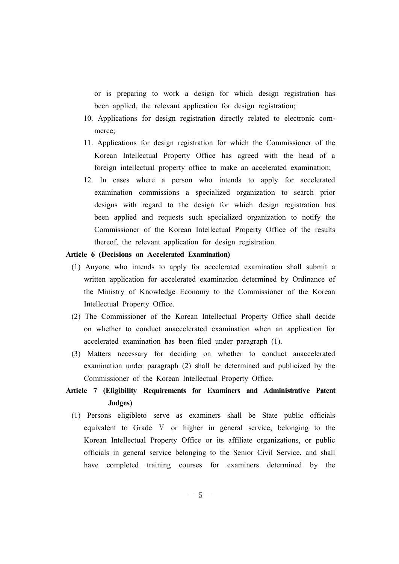or is preparing to work a design for which design registration has been applied, the relevant application for design registration;

- 10. Applications for design registration directly related to electronic commerce;
- 11. Applications for design registration for which the Commissioner of the Korean Intellectual Property Office has agreed with the head of a foreign intellectual property office to make an accelerated examination;
- 12. In cases where a person who intends to apply for accelerated examination commissions a specialized organization to search prior designs with regard to the design for which design registration has been applied and requests such specialized organization to notify the Commissioner of the Korean Intellectual Property Office of the results thereof, the relevant application for design registration.

## **Article 6 (Decisions on Accelerated Examination)**

- (1) Anyone who intends to apply for accelerated examination shall submit a written application for accelerated examination determined by Ordinance of the Ministry of Knowledge Economy to the Commissioner of the Korean Intellectual Property Office.
- (2) The Commissioner of the Korean Intellectual Property Office shall decide on whether to conduct anaccelerated examination when an application for accelerated examination has been filed under paragraph (1).
- (3) Matters necessary for deciding on whether to conduct anaccelerated examination under paragraph (2) shall be determined and publicized by the Commissioner of the Korean Intellectual Property Office.

# **Article 7 (Eligibility Requirements for Examiners and Administrative Patent Judges)**

(1) Persons eligibleto serve as examiners shall be State public officials equivalent to Grade V or higher in general service, belonging to the Korean Intellectual Property Office or its affiliate organizations, or public officials in general service belonging to the Senior Civil Service, and shall have completed training courses for examiners determined by the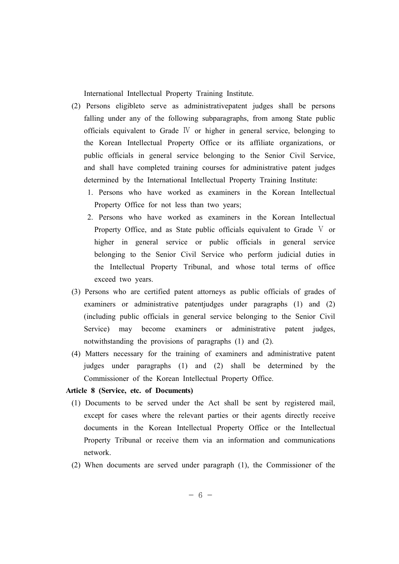International Intellectual Property Training Institute.

- (2) Persons eligibleto serve as administrativepatent judges shall be persons falling under any of the following subparagraphs, from among State public officials equivalent to Grade Ⅳ or higher in general service, belonging to the Korean Intellectual Property Office or its affiliate organizations, or public officials in general service belonging to the Senior Civil Service, and shall have completed training courses for administrative patent judges determined by the International Intellectual Property Training Institute:
	- 1. Persons who have worked as examiners in the Korean Intellectual Property Office for not less than two years;
	- 2. Persons who have worked as examiners in the Korean Intellectual Property Office, and as State public officials equivalent to Grade V or higher in general service or public officials in general service belonging to the Senior Civil Service who perform judicial duties in the Intellectual Property Tribunal, and whose total terms of office exceed two years.
- (3) Persons who are certified patent attorneys as public officials of grades of examiners or administrative patentjudges under paragraphs (1) and (2) (including public officials in general service belonging to the Senior Civil Service) may become examiners or administrative patent judges, notwithstanding the provisions of paragraphs (1) and (2).
- (4) Matters necessary for the training of examiners and administrative patent judges under paragraphs (1) and (2) shall be determined by the Commissioner of the Korean Intellectual Property Office.

# **Article 8 (Service, etc. of Documents)**

- (1) Documents to be served under the Act shall be sent by registered mail, except for cases where the relevant parties or their agents directly receive documents in the Korean Intellectual Property Office or the Intellectual Property Tribunal or receive them via an information and communications network.
- (2) When documents are served under paragraph (1), the Commissioner of the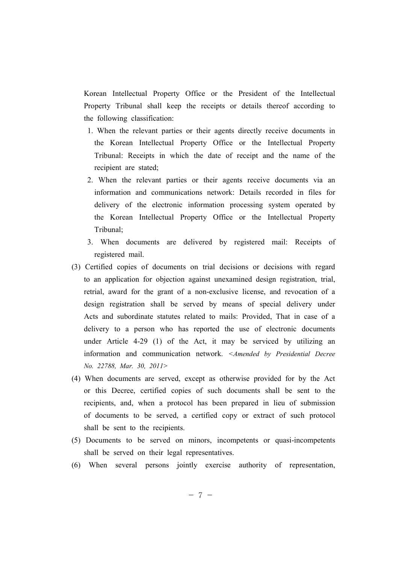Korean Intellectual Property Office or the President of the Intellectual Property Tribunal shall keep the receipts or details thereof according to the following classification:

- 1. When the relevant parties or their agents directly receive documents in the Korean Intellectual Property Office or the Intellectual Property Tribunal: Receipts in which the date of receipt and the name of the recipient are stated;
- 2. When the relevant parties or their agents receive documents via an information and communications network: Details recorded in files for delivery of the electronic information processing system operated by the Korean Intellectual Property Office or the Intellectual Property Tribunal;
- 3. When documents are delivered by registered mail: Receipts of registered mail.
- (3) Certified copies of documents on trial decisions or decisions with regard to an application for objection against unexamined design registration, trial, retrial, award for the grant of a non-exclusive license, and revocation of a design registration shall be served by means of special delivery under Acts and subordinate statutes related to mails: Provided, That in case of a delivery to a person who has reported the use of electronic documents under Article 4-29 (1) of the Act, it may be serviced by utilizing an information and communication network. *<Amended by Presidential Decree No. 22788, Mar. 30, 2011>*
- (4) When documents are served, except as otherwise provided for by the Act or this Decree, certified copies of such documents shall be sent to the recipients, and, when a protocol has been prepared in lieu of submission of documents to be served, a certified copy or extract of such protocol shall be sent to the recipients.
- (5) Documents to be served on minors, incompetents or quasi-incompetents shall be served on their legal representatives.
- (6) When several persons jointly exercise authority of representation,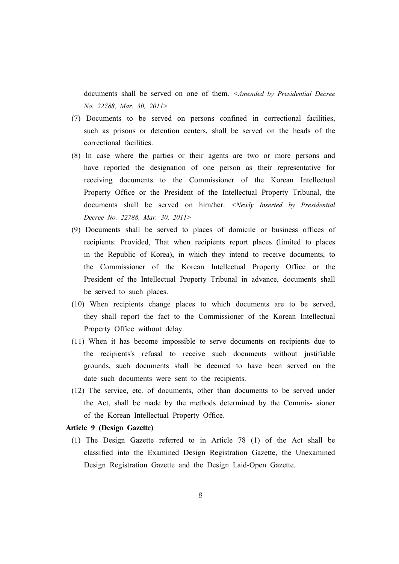documents shall be served on one of them. *<Amended by Presidential Decree No. 22788, Mar. 30, 2011>*

- (7) Documents to be served on persons confined in correctional facilities, such as prisons or detention centers, shall be served on the heads of the correctional facilities.
- (8) In case where the parties or their agents are two or more persons and have reported the designation of one person as their representative for receiving documents to the Commissioner of the Korean Intellectual Property Office or the President of the Intellectual Property Tribunal, the documents shall be served on him/her. *<Newly Inserted by Presidential Decree No. 22788, Mar. 30, 2011>*
- (9) Documents shall be served to places of domicile or business offices of recipients: Provided, That when recipients report places (limited to places in the Republic of Korea), in which they intend to receive documents, to the Commissioner of the Korean Intellectual Property Office or the President of the Intellectual Property Tribunal in advance, documents shall be served to such places.
- (10) When recipients change places to which documents are to be served, they shall report the fact to the Commissioner of the Korean Intellectual Property Office without delay.
- (11) When it has become impossible to serve documents on recipients due to the recipients's refusal to receive such documents without justifiable grounds, such documents shall be deemed to have been served on the date such documents were sent to the recipients.
- (12) The service, etc. of documents, other than documents to be served under the Act, shall be made by the methods determined by the Commis- sioner of the Korean Intellectual Property Office.

# **Article 9 (Design Gazette)**

(1) The Design Gazette referred to in Article 78 (1) of the Act shall be classified into the Examined Design Registration Gazette, the Unexamined Design Registration Gazette and the Design Laid-Open Gazette.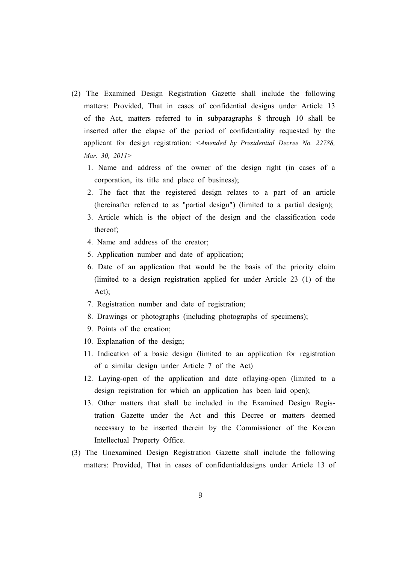- (2) The Examined Design Registration Gazette shall include the following matters: Provided, That in cases of confidential designs under Article 13 of the Act, matters referred to in subparagraphs 8 through 10 shall be inserted after the elapse of the period of confidentiality requested by the applicant for design registration: *<Amended by Presidential Decree No. 22788, Mar. 30, 2011>*
	- 1. Name and address of the owner of the design right (in cases of a corporation, its title and place of business);
	- 2. The fact that the registered design relates to a part of an article (hereinafter referred to as "partial design") (limited to a partial design);
	- 3. Article which is the object of the design and the classification code thereof;
	- 4. Name and address of the creator;
	- 5. Application number and date of application;
	- 6. Date of an application that would be the basis of the priority claim (limited to a design registration applied for under Article 23 (1) of the Act);
	- 7. Registration number and date of registration;
	- 8. Drawings or photographs (including photographs of specimens);
	- 9. Points of the creation;
	- 10. Explanation of the design;
	- 11. Indication of a basic design (limited to an application for registration of a similar design under Article 7 of the Act)
	- 12. Laying-open of the application and date oflaying-open (limited to a design registration for which an application has been laid open);
	- 13. Other matters that shall be included in the Examined Design Registration Gazette under the Act and this Decree or matters deemed necessary to be inserted therein by the Commissioner of the Korean Intellectual Property Office.
- (3) The Unexamined Design Registration Gazette shall include the following matters: Provided, That in cases of confidentialdesigns under Article 13 of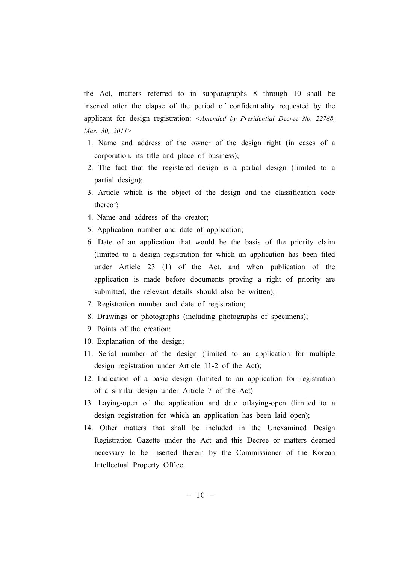the Act, matters referred to in subparagraphs 8 through 10 shall be inserted after the elapse of the period of confidentiality requested by the applicant for design registration: *<Amended by Presidential Decree No. 22788, Mar. 30, 2011>*

- 1. Name and address of the owner of the design right (in cases of a corporation, its title and place of business);
- 2. The fact that the registered design is a partial design (limited to a partial design);
- 3. Article which is the object of the design and the classification code thereof;
- 4. Name and address of the creator;
- 5. Application number and date of application;
- 6. Date of an application that would be the basis of the priority claim (limited to a design registration for which an application has been filed under Article 23 (1) of the Act, and when publication of the application is made before documents proving a right of priority are submitted, the relevant details should also be written);
- 7. Registration number and date of registration;
- 8. Drawings or photographs (including photographs of specimens);
- 9. Points of the creation;
- 10. Explanation of the design;
- 11. Serial number of the design (limited to an application for multiple design registration under Article 11-2 of the Act);
- 12. Indication of a basic design (limited to an application for registration of a similar design under Article 7 of the Act)
- 13. Laying-open of the application and date oflaying-open (limited to a design registration for which an application has been laid open);
- 14. Other matters that shall be included in the Unexamined Design Registration Gazette under the Act and this Decree or matters deemed necessary to be inserted therein by the Commissioner of the Korean Intellectual Property Office.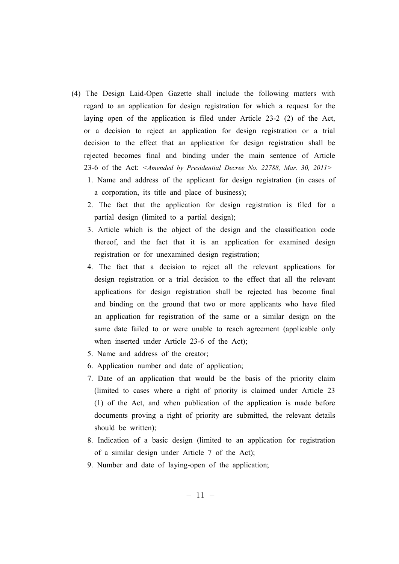- (4) The Design Laid-Open Gazette shall include the following matters with regard to an application for design registration for which a request for the laying open of the application is filed under Article 23-2 (2) of the Act, or a decision to reject an application for design registration or a trial decision to the effect that an application for design registration shall be rejected becomes final and binding under the main sentence of Article 23-6 of the Act: *<Amended by Presidential Decree No. 22788, Mar. 30, 2011>*
	- 1. Name and address of the applicant for design registration (in cases of a corporation, its title and place of business);
	- 2. The fact that the application for design registration is filed for a partial design (limited to a partial design);
	- 3. Article which is the object of the design and the classification code thereof, and the fact that it is an application for examined design registration or for unexamined design registration;
	- 4. The fact that a decision to reject all the relevant applications for design registration or a trial decision to the effect that all the relevant applications for design registration shall be rejected has become final and binding on the ground that two or more applicants who have filed an application for registration of the same or a similar design on the same date failed to or were unable to reach agreement (applicable only when inserted under Article 23-6 of the Act);
	- 5. Name and address of the creator;
	- 6. Application number and date of application;
	- 7. Date of an application that would be the basis of the priority claim (limited to cases where a right of priority is claimed under Article 23 (1) of the Act, and when publication of the application is made before documents proving a right of priority are submitted, the relevant details should be written);
	- 8. Indication of a basic design (limited to an application for registration of a similar design under Article 7 of the Act);
	- 9. Number and date of laying-open of the application;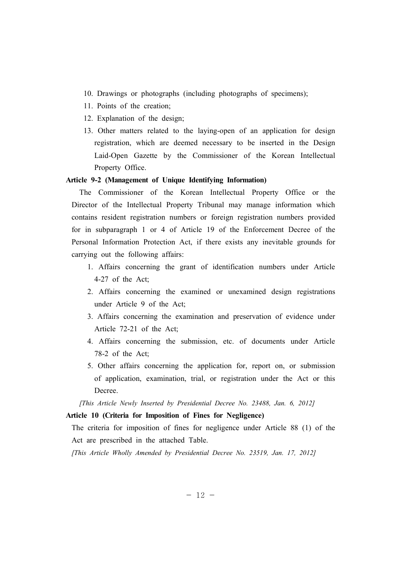- 10. Drawings or photographs (including photographs of specimens);
- 11. Points of the creation;
- 12. Explanation of the design;
- 13. Other matters related to the laying-open of an application for design registration, which are deemed necessary to be inserted in the Design Laid-Open Gazette by the Commissioner of the Korean Intellectual Property Office.

# **Article 9-2 (Management of Unique Identifying Information)**

 The Commissioner of the Korean Intellectual Property Office or the Director of the Intellectual Property Tribunal may manage information which contains resident registration numbers or foreign registration numbers provided for in subparagraph 1 or 4 of Article 19 of the Enforcement Decree of the Personal Information Protection Act, if there exists any inevitable grounds for carrying out the following affairs:

- 1. Affairs concerning the grant of identification numbers under Article 4-27 of the Act;
- 2. Affairs concerning the examined or unexamined design registrations under Article 9 of the Act;
- 3. Affairs concerning the examination and preservation of evidence under Article 72-21 of the Act;
- 4. Affairs concerning the submission, etc. of documents under Article 78-2 of the Act;
- 5. Other affairs concerning the application for, report on, or submission of application, examination, trial, or registration under the Act or this Decree.

*[This Article Newly Inserted by Presidential Decree No. 23488, Jan. 6, 2012]*

# **Article 10 (Criteria for Imposition of Fines for Negligence)**

The criteria for imposition of fines for negligence under Article 88 (1) of the Act are prescribed in the attached Table.

*[This Article Wholly Amended by Presidential Decree No. 23519, Jan. 17, 2012]*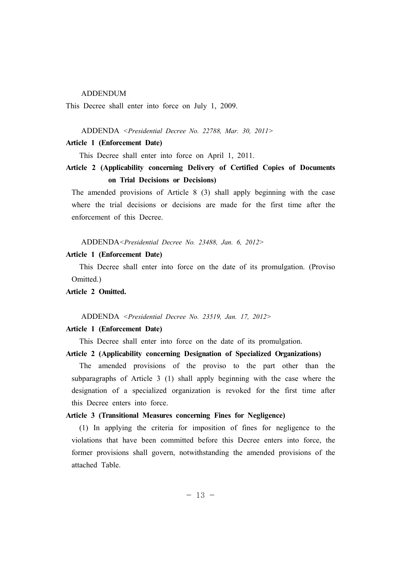## ADDENDUM

This Decree shall enter into force on July 1, 2009.

#### ADDENDA *<Presidential Decree No. 22788, Mar. 30, 2011>*

#### **Article 1 (Enforcement Date)**

This Decree shall enter into force on April 1, 2011.

# **Article 2 (Applicability concerning Delivery of Certified Copies of Documents on Trial Decisions or Decisions)**

The amended provisions of Article 8 (3) shall apply beginning with the case where the trial decisions or decisions are made for the first time after the enforcement of this Decree.

ADDENDA*<Presidential Decree No. 23488, Jan. 6, 2012>*

#### **Article 1 (Enforcement Date)**

 This Decree shall enter into force on the date of its promulgation. (Proviso Omitted.)

#### **Article 2 Omitted.**

ADDENDA *<Presidential Decree No. 23519, Jan. 17, 2012>*

# **Article 1 (Enforcement Date)**

This Decree shall enter into force on the date of its promulgation.

#### **Article 2 (Applicability concerning Designation of Specialized Organizations)**

 The amended provisions of the proviso to the part other than the subparagraphs of Article 3 (1) shall apply beginning with the case where the designation of a specialized organization is revoked for the first time after this Decree enters into force.

# **Article 3 (Transitional Measures concerning Fines for Negligence)**

 (1) In applying the criteria for imposition of fines for negligence to the violations that have been committed before this Decree enters into force, the former provisions shall govern, notwithstanding the amended provisions of the attached Table.